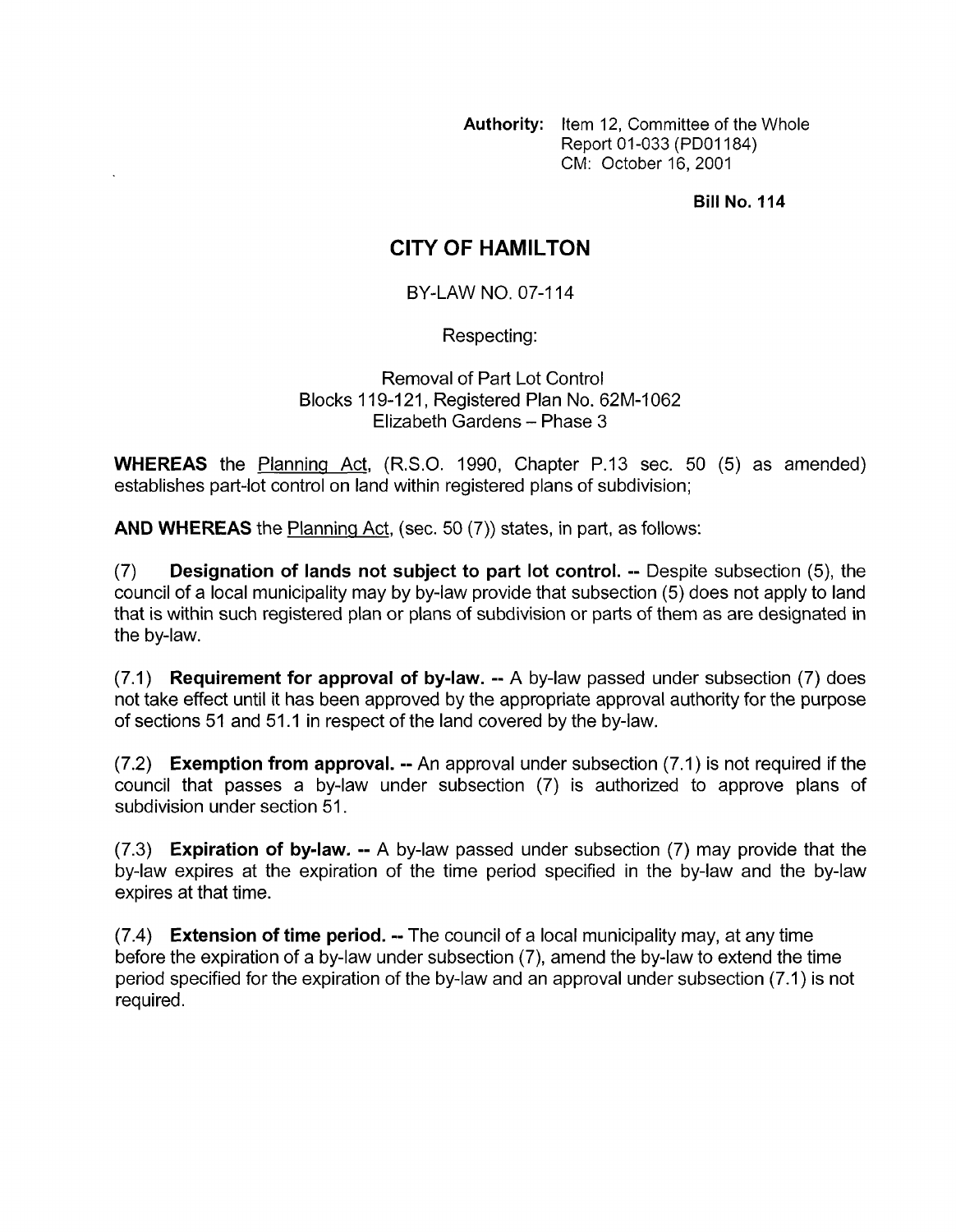**Authority:** Item 12, Committee of the Whole Report 01-033 (PDOI 184) CM: October 16,2001

**Bill No. 114** 

## **CITY OF HAMILTON**

BY-LAW NO. 07-1 14

Respecting:

Removal of Part Lot Control Blocks 119-121, Registered Plan No. 62M-1062 Elizabeth Gardens - Phase 3

**WHEREAS** the Planning Act, (R.S.O. 1990, Chapter P.13 sec. 50 (5) as amended) establishes part-lot control on land within registered plans of subdivision;

**AND WHEREAS** the Planning Act, (sec. 50 (7)) states, in part, as follows:

(7) **Designation of lands not subject to part lot control.** -- Despite subsection (5), the council of a local municipality may by by-law provide that subsection (5) does not apply to land that is within such registered plan or plans of subdivision or parts of them as are designated in the by-law.

(7.1) **Requirement for approval of by-law.** -- A by-law passed under subsection (7) does not take effect until it has been approved by the appropriate approval authority for the purpose of sections 51 and 51.1 in respect of the land covered by the by-law.

(7.2) **Exemption from approval.** -- An approval under subsection (7.1) is not required if the council that passes a by-law under subsection (7) is authorized to approve plans of subdivision under section 51.

(7.3) **Expiration of bylaw.** -- A by-law passed under subsection (7) may provide that the by-law expires at the expiration of the time period specified in the by-law and the by-law expires at that time.

(7.4) **Extension of time period.** -- The council of a local municipality may, at any time before the expiration of a by-law under subsection (7), amend the by-law to extend the time period specified for the expiration of the by-law and an approval under subsection (7.1) is not required.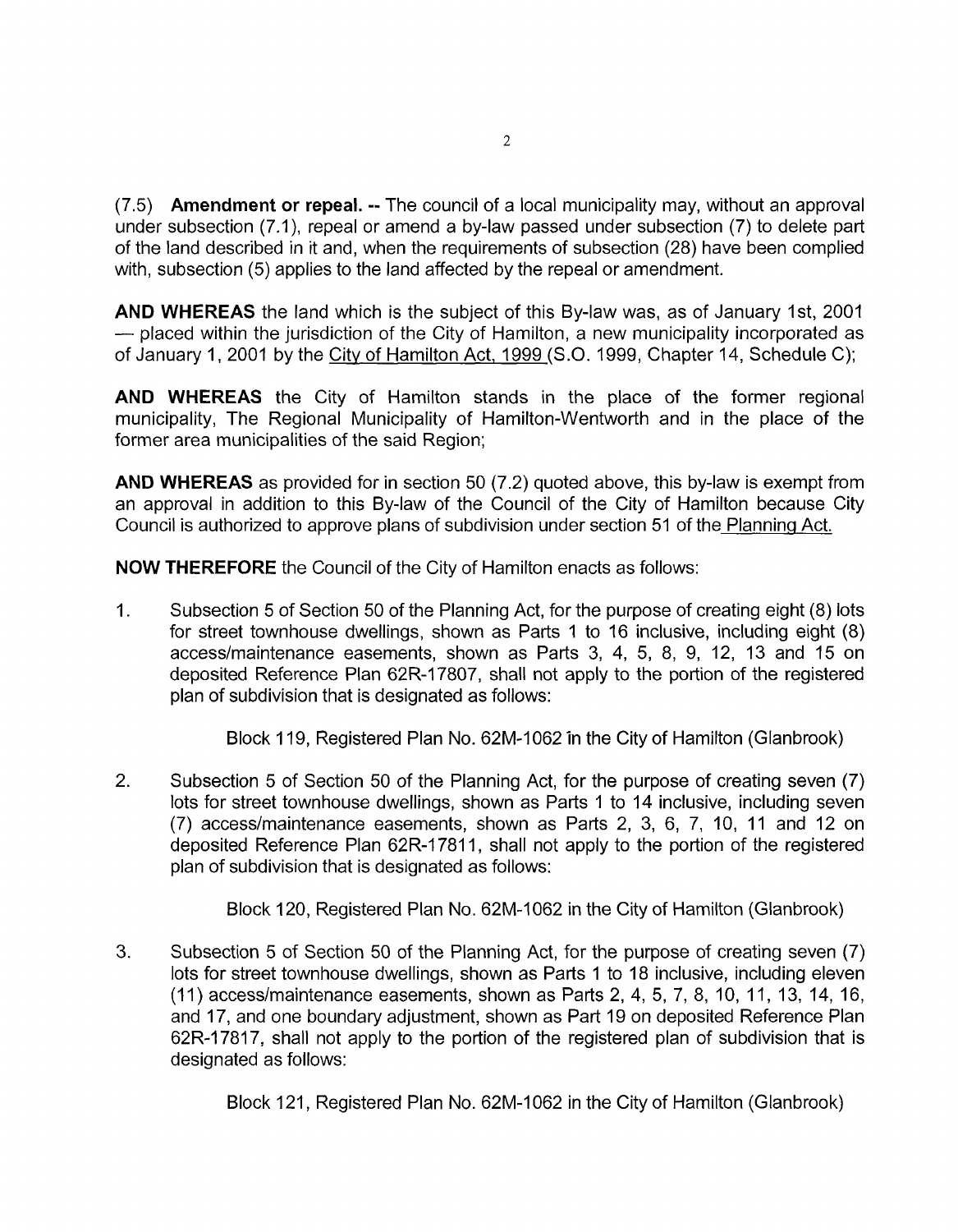(7.5) **Amendment or repeal.** -- The council of a local municipality may, without an approval under subsection (7,1), repeal or amend a by-law passed under subsection (7) to delete part of the land described in it and, when the requirements of subsection (28) have been complied with, subsection (5) applies to the land affected by the repeal or amendment.

**AND WHEREAS** the land which is the subject of this By-law was, as of January Ist, 2001 - placed within the jurisdiction of the City of Hamilton, a new municipality incorporated as of January 1, 2001 by the City of Hamilton Act, 1999 (S.O. 1999, Chapter 14, Schedule C);

**AND WHEREAS** the City of Hamilton stands in the place of the former regional municipality, The Regional Municipality of Hamilton-Wentworth and in the place of the former area municipalities of the said Region;

**AND WHEREAS** as provided for in section 50 (7.2) quoted above, this by-law is exempt from an approval in addition to this By-law of the Council of the City of Hamilton because City Council is authorized to approve plans of subdivision under section 51 of the Planning Act.

**NOW THEREFORE** the Council of the City of Hamilton enacts as follows:

1. Subsection 5 of Section 50 of the Planning Act, for the purpose of creating eight (8) lots for street townhouse dwellings, shown as Parts 1 to 16 inclusive, including eight (8) accesdmaintenance easements, shown as Parts 3, 4, 5, 8, 9, 12, 13 and 15 on deposited Reference Plan 62R-17807, shall not apply to the portion of the registered plan of subdivision that is designated as follows:

Block 1 19, Registered Plan No. 62M-1062 in the City of Hamilton (Glanbrook)

2. Subsection 5 of Section 50 of the Planning Act, for the purpose of creating seven (7) lots for street townhouse dwellings, shown as Parts 1 to 14 inclusive, including seven (7) access/maintenance easements, shown as Parts 2, 3, 6, 7, 10, 11 and 12 on deposited Reference Plan 62R-17811, shall not apply to the portion of the registered plan of subdivision that is designated as follows:

Block 120, Registered Plan No. 62M-1062 in the City of Hamilton (Glanbrook)

3. Subsection 5 of Section 50 of the Planning Act, for the purpose of creating seven (7) lots for street townhouse dwellings, shown as Parts 1 to 18 inclusive, including eleven (11) accesdmaintenance easements, shown as Parts 2, 4, 5, 7, 8, 10, 11, 13, 14, 16, and 17, and one boundary adjustment, shown as Part 19 on deposited Reference Plan 62R-17817, shall not apply to the portion of the registered plan of subdivision that is designated as follows:

Block 121, Registered Plan No. 62M-1062 in the City of Hamilton (Glanbrook)